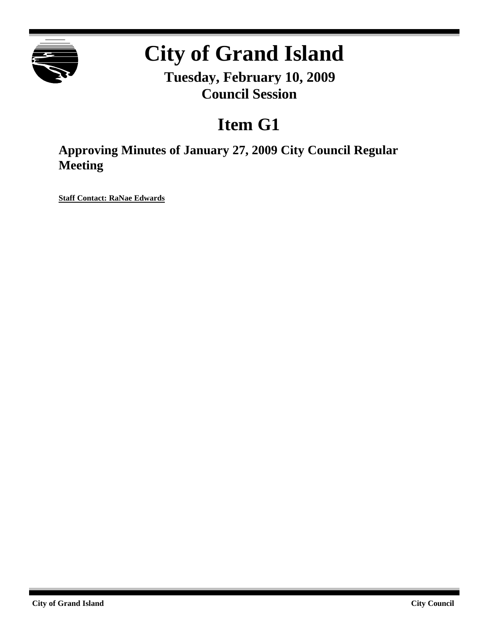

# **City of Grand Island**

**Tuesday, February 10, 2009 Council Session**

# **Item G1**

**Approving Minutes of January 27, 2009 City Council Regular Meeting**

**Staff Contact: RaNae Edwards**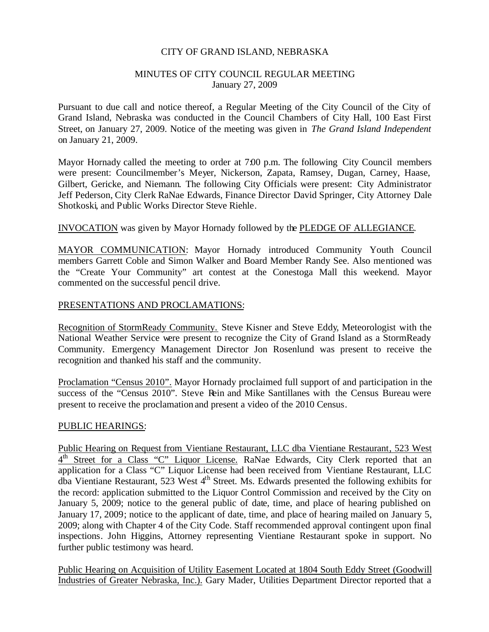#### CITY OF GRAND ISLAND, NEBRASKA

#### MINUTES OF CITY COUNCIL REGULAR MEETING January 27, 2009

Pursuant to due call and notice thereof, a Regular Meeting of the City Council of the City of Grand Island, Nebraska was conducted in the Council Chambers of City Hall, 100 East First Street, on January 27, 2009. Notice of the meeting was given in *The Grand Island Independent* on January 21, 2009.

Mayor Hornady called the meeting to order at 7:00 p.m. The following City Council members were present: Councilmember's Meyer, Nickerson, Zapata, Ramsey, Dugan, Carney, Haase, Gilbert, Gericke, and Niemann. The following City Officials were present: City Administrator Jeff Pederson, City Clerk RaNae Edwards, Finance Director David Springer, City Attorney Dale Shotkoski, and Public Works Director Steve Riehle.

#### INVOCATION was given by Mayor Hornady followed by the PLEDGE OF ALLEGIANCE.

MAYOR COMMUNICATION: Mayor Hornady introduced Community Youth Council members Garrett Coble and Simon Walker and Board Member Randy See. Also mentioned was the "Create Your Community" art contest at the Conestoga Mall this weekend. Mayor commented on the successful pencil drive.

#### PRESENTATIONS AND PROCLAMATIONS:

Recognition of StormReady Community. Steve Kisner and Steve Eddy, Meteorologist with the National Weather Service were present to recognize the City of Grand Island as a StormReady Community. Emergency Management Director Jon Rosenlund was present to receive the recognition and thanked his staff and the community.

Proclamation "Census 2010". Mayor Hornady proclaimed full support of and participation in the success of the "Census 2010". Steve Rein and Mike Santillanes with the Census Bureau were present to receive the proclamation and present a video of the 2010 Census.

#### PUBLIC HEARINGS:

Public Hearing on Request from Vientiane Restaurant, LLC dba Vientiane Restaurant, 523 West 4<sup>th</sup> Street for a Class "C" Liquor License. RaNae Edwards, City Clerk reported that an application for a Class "C" Liquor License had been received from Vientiane Restaurant, LLC dba Vientiane Restaurant, 523 West  $4<sup>th</sup>$  Street. Ms. Edwards presented the following exhibits for the record: application submitted to the Liquor Control Commission and received by the City on January 5, 2009; notice to the general public of date, time, and place of hearing published on January 17, 2009; notice to the applicant of date, time, and place of hearing mailed on January 5, 2009; along with Chapter 4 of the City Code. Staff recommended approval contingent upon final inspections. John Higgins, Attorney representing Vientiane Restaurant spoke in support. No further public testimony was heard.

Public Hearing on Acquisition of Utility Easement Located at 1804 South Eddy Street (Goodwill Industries of Greater Nebraska, Inc.). Gary Mader, Utilities Department Director reported that a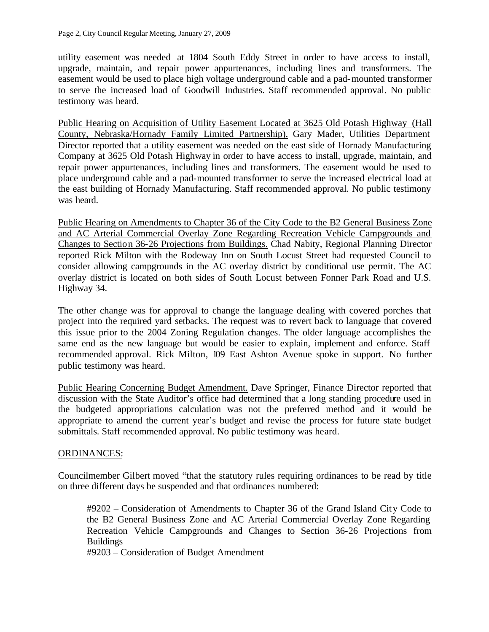utility easement was needed at 1804 South Eddy Street in order to have access to install, upgrade, maintain, and repair power appurtenances, including lines and transformers. The easement would be used to place high voltage underground cable and a pad-mounted transformer to serve the increased load of Goodwill Industries. Staff recommended approval. No public testimony was heard.

Public Hearing on Acquisition of Utility Easement Located at 3625 Old Potash Highway (Hall County, Nebraska/Hornady Family Limited Partnership). Gary Mader, Utilities Department Director reported that a utility easement was needed on the east side of Hornady Manufacturing Company at 3625 Old Potash Highway in order to have access to install, upgrade, maintain, and repair power appurtenances, including lines and transformers. The easement would be used to place underground cable and a pad-mounted transformer to serve the increased electrical load at the east building of Hornady Manufacturing. Staff recommended approval. No public testimony was heard.

Public Hearing on Amendments to Chapter 36 of the City Code to the B2 General Business Zone and AC Arterial Commercial Overlay Zone Regarding Recreation Vehicle Campgrounds and Changes to Section 36-26 Projections from Buildings. Chad Nabity, Regional Planning Director reported Rick Milton with the Rodeway Inn on South Locust Street had requested Council to consider allowing campgrounds in the AC overlay district by conditional use permit. The AC overlay district is located on both sides of South Locust between Fonner Park Road and U.S. Highway 34.

The other change was for approval to change the language dealing with covered porches that project into the required yard setbacks. The request was to revert back to language that covered this issue prior to the 2004 Zoning Regulation changes. The older language accomplishes the same end as the new language but would be easier to explain, implement and enforce. Staff recommended approval. Rick Milton, 109 East Ashton Avenue spoke in support. No further public testimony was heard.

Public Hearing Concerning Budget Amendment. Dave Springer, Finance Director reported that discussion with the State Auditor's office had determined that a long standing procedure used in the budgeted appropriations calculation was not the preferred method and it would be appropriate to amend the current year's budget and revise the process for future state budget submittals. Staff recommended approval. No public testimony was heard.

#### ORDINANCES:

Councilmember Gilbert moved "that the statutory rules requiring ordinances to be read by title on three different days be suspended and that ordinances numbered:

#9202 – Consideration of Amendments to Chapter 36 of the Grand Island City Code to the B2 General Business Zone and AC Arterial Commercial Overlay Zone Regarding Recreation Vehicle Campgrounds and Changes to Section 36-26 Projections from Buildings

#9203 – Consideration of Budget Amendment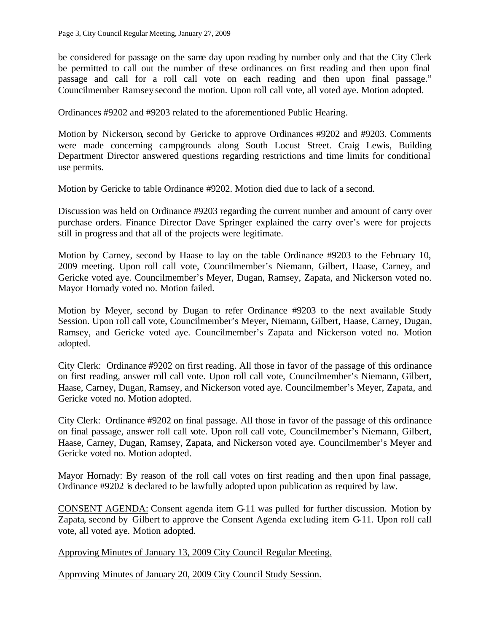be considered for passage on the same day upon reading by number only and that the City Clerk be permitted to call out the number of these ordinances on first reading and then upon final passage and call for a roll call vote on each reading and then upon final passage." Councilmember Ramsey second the motion. Upon roll call vote, all voted aye. Motion adopted.

Ordinances #9202 and #9203 related to the aforementioned Public Hearing.

Motion by Nickerson, second by Gericke to approve Ordinances #9202 and #9203. Comments were made concerning campgrounds along South Locust Street. Craig Lewis, Building Department Director answered questions regarding restrictions and time limits for conditional use permits.

Motion by Gericke to table Ordinance #9202. Motion died due to lack of a second.

Discussion was held on Ordinance #9203 regarding the current number and amount of carry over purchase orders. Finance Director Dave Springer explained the carry over's were for projects still in progress and that all of the projects were legitimate.

Motion by Carney, second by Haase to lay on the table Ordinance #9203 to the February 10, 2009 meeting. Upon roll call vote, Councilmember's Niemann, Gilbert, Haase, Carney, and Gericke voted aye. Councilmember's Meyer, Dugan, Ramsey, Zapata, and Nickerson voted no. Mayor Hornady voted no. Motion failed.

Motion by Meyer, second by Dugan to refer Ordinance #9203 to the next available Study Session. Upon roll call vote, Councilmember's Meyer, Niemann, Gilbert, Haase, Carney, Dugan, Ramsey, and Gericke voted aye. Councilmember's Zapata and Nickerson voted no. Motion adopted.

City Clerk: Ordinance #9202 on first reading. All those in favor of the passage of this ordinance on first reading, answer roll call vote. Upon roll call vote, Councilmember's Niemann, Gilbert, Haase, Carney, Dugan, Ramsey, and Nickerson voted aye. Councilmember's Meyer, Zapata, and Gericke voted no. Motion adopted.

City Clerk: Ordinance #9202 on final passage. All those in favor of the passage of this ordinance on final passage, answer roll call vote. Upon roll call vote, Councilmember's Niemann, Gilbert, Haase, Carney, Dugan, Ramsey, Zapata, and Nickerson voted aye. Councilmember's Meyer and Gericke voted no. Motion adopted.

Mayor Hornady: By reason of the roll call votes on first reading and then upon final passage, Ordinance #9202 is declared to be lawfully adopted upon publication as required by law.

CONSENT AGENDA: Consent agenda item G-11 was pulled for further discussion. Motion by Zapata, second by Gilbert to approve the Consent Agenda excluding item G-11. Upon roll call vote, all voted aye. Motion adopted.

Approving Minutes of January 13, 2009 City Council Regular Meeting.

Approving Minutes of January 20, 2009 City Council Study Session.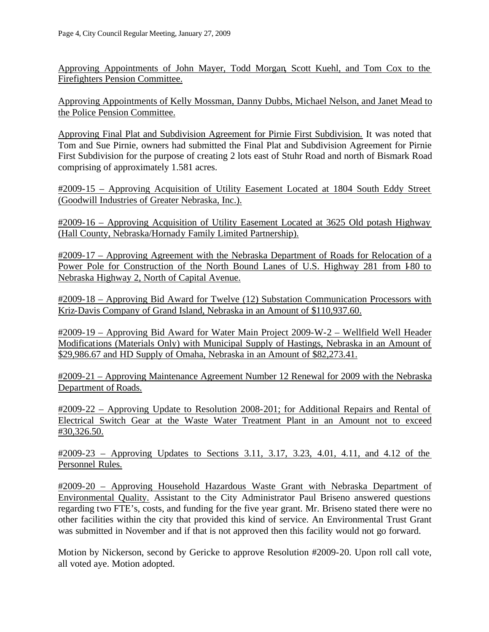Approving Appointments of John Mayer, Todd Morgan, Scott Kuehl, and Tom Cox to the Firefighters Pension Committee.

Approving Appointments of Kelly Mossman, Danny Dubbs, Michael Nelson, and Janet Mead to the Police Pension Committee.

Approving Final Plat and Subdivision Agreement for Pirnie First Subdivision. It was noted that Tom and Sue Pirnie, owners had submitted the Final Plat and Subdivision Agreement for Pirnie First Subdivision for the purpose of creating 2 lots east of Stuhr Road and north of Bismark Road comprising of approximately 1.581 acres.

#2009-15 – Approving Acquisition of Utility Easement Located at 1804 South Eddy Street (Goodwill Industries of Greater Nebraska, Inc.).

#2009-16 – Approving Acquisition of Utility Easement Located at 3625 Old potash Highway (Hall County, Nebraska/Hornady Family Limited Partnership).

#2009-17 – Approving Agreement with the Nebraska Department of Roads for Relocation of a Power Pole for Construction of the North Bound Lanes of U.S. Highway 281 from 180 to Nebraska Highway 2, North of Capital Avenue.

#2009-18 – Approving Bid Award for Twelve (12) Substation Communication Processors with Kriz-Davis Company of Grand Island, Nebraska in an Amount of \$110,937.60.

#2009-19 – Approving Bid Award for Water Main Project 2009-W-2 – Wellfield Well Header Modifications (Materials Only) with Municipal Supply of Hastings, Nebraska in an Amount of \$29,986.67 and HD Supply of Omaha, Nebraska in an Amount of \$82,273.41.

#2009-21 – Approving Maintenance Agreement Number 12 Renewal for 2009 with the Nebraska Department of Roads.

#2009-22 – Approving Update to Resolution 2008-201; for Additional Repairs and Rental of Electrical Switch Gear at the Waste Water Treatment Plant in an Amount not to exceed #30,326.50.

#2009-23 – Approving Updates to Sections 3.11, 3.17, 3.23, 4.01, 4.11, and 4.12 of the Personnel Rules.

#2009-20 – Approving Household Hazardous Waste Grant with Nebraska Department of Environmental Quality. Assistant to the City Administrator Paul Briseno answered questions regarding two FTE's, costs, and funding for the five year grant. Mr. Briseno stated there were no other facilities within the city that provided this kind of service. An Environmental Trust Grant was submitted in November and if that is not approved then this facility would not go forward.

Motion by Nickerson, second by Gericke to approve Resolution #2009-20. Upon roll call vote, all voted aye. Motion adopted.